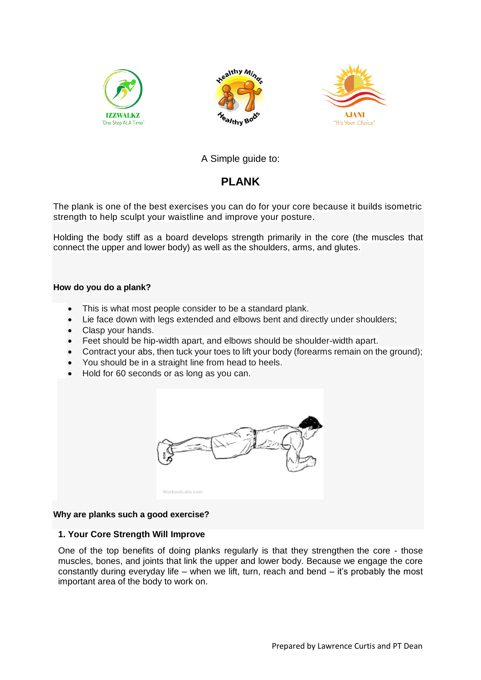





# A Simple guide to:

# **PLANK**

The plank is one of the best exercises you can do for your core because it builds isometric strength to help sculpt your waistline and improve your posture.

Holding the body stiff as a board develops strength primarily in the core (the muscles that connect the upper and lower body) as well as the shoulders, arms, and glutes.

#### **How do you do a plank?**

- This is what most people consider to be a standard plank.
- Lie face down with legs extended and elbows bent and directly under shoulders;
- Clasp your hands.
- Feet should be hip-width apart, and elbows should be shoulder-width apart.
- Contract your abs, then tuck your toes to lift your body (forearms remain on the ground);
- You should be in a straight line from head to heels.
- Hold for 60 seconds or as long as you can.



### **Why are planks such a good exercise?**

#### **1. Your Core Strength Will Improve**

One of the top benefits of doing planks regularly is that they strengthen the core - those muscles, bones, and joints that link the upper and lower body. Because we engage the core constantly during everyday life – when we lift, turn, reach and bend – it's probably the most important area of the body to work on.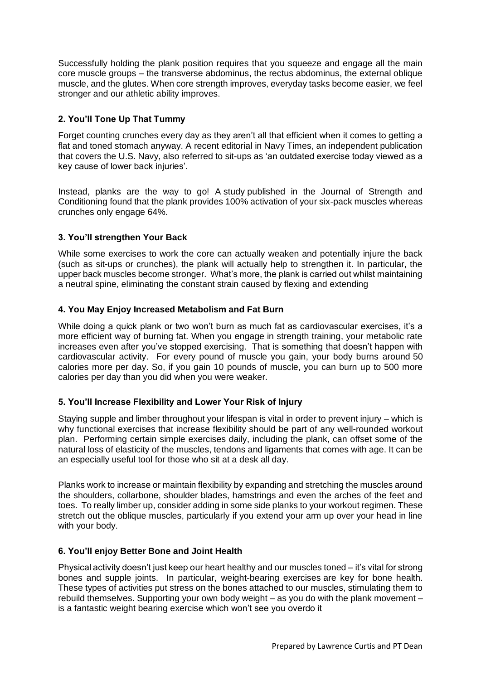Successfully holding the plank position requires that you squeeze and engage all the main core muscle groups – the transverse abdominus, the rectus abdominus, the external oblique muscle, and the glutes. When core strength improves, everyday tasks become easier, we feel stronger and our athletic ability improves.

# **2. You'll Tone Up That Tummy**

Forget counting crunches every day as they aren't all that efficient when it comes to getting a flat and toned stomach anyway. A recent editorial in Navy Times, an independent publication that covers the U.S. Navy, also referred to sit-ups as 'an outdated exercise today viewed as a key cause of lower back injuries'.

Instead, planks are the way to go! A [study](http://kxpilates.com.au/seriously-hard-core/) published in the Journal of Strength and Conditioning found that the plank provides 100% activation of your six-pack muscles whereas crunches only engage 64%.

## **3. You'll strengthen Your Back**

While some exercises to work the core can actually weaken and potentially injure the back (such as sit-ups or crunches), the plank will actually help to strengthen it. In particular, the upper back muscles become stronger. What's more, the plank is carried out whilst maintaining a neutral spine, eliminating the constant strain caused by flexing and extending

### **4. You May Enjoy Increased Metabolism and Fat Burn**

While doing a quick plank or two won't burn as much fat as cardiovascular exercises, it's a more efficient way of burning fat. When you engage in strength training, your metabolic rate increases even after you've stopped exercising. That is something that doesn't happen with cardiovascular activity. For every pound of muscle you gain, your body burns around 50 calories more per day. So, if you gain 10 pounds of muscle, you can burn up to 500 more calories per day than you did when you were weaker.

### **5. You'll Increase Flexibility and Lower Your Risk of Injury**

Staying supple and limber throughout your lifespan is vital in order to prevent injury – which is why functional exercises that increase flexibility should be part of any well-rounded workout plan. Performing certain simple exercises daily, including the plank, can offset some of the natural loss of elasticity of the muscles, tendons and ligaments that comes with age. It can be an especially useful tool for those who sit at a desk all day.

Planks work to increase or maintain flexibility by expanding and stretching the muscles around the shoulders, collarbone, shoulder blades, hamstrings and even the arches of the feet and toes. To really limber up, consider adding in some side planks to your workout regimen. These stretch out the oblique muscles, particularly if you extend your arm up over your head in line with your body.

### **6. You'll enjoy Better Bone and Joint Health**

Physical activity doesn't just keep our heart healthy and our muscles toned – it's vital for strong bones and supple joints. In particular, weight-bearing exercises are key for bone health. These types of activities put stress on the bones attached to our muscles, stimulating them to rebuild themselves. Supporting your own body weight – as you do with the plank movement – is a fantastic weight bearing exercise which won't see you overdo it